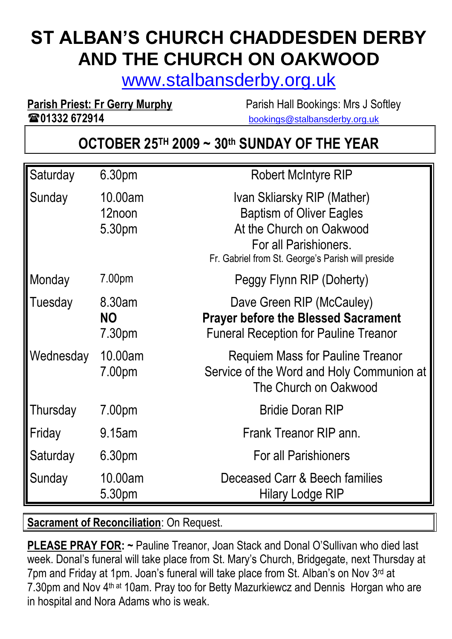# **ST ALBAN'S CHURCH CHADDESDEN DERBY AND THE CHURCH ON OAKWOOD**

[www.stalbansderby.org.uk](http://www.stalbansderby.org.uk/)

**01332 672914** [bookings@stalbansderby.org.uk](mailto:bookings@stalbansderby.org.uk)

**Parish Priest: Fr Gerry Murphy** Parish Hall Bookings: Mrs J Softley

# **OCTOBER 25TH 2009 ~ 30th SUNDAY OF THE YEAR**

| Saturday  | 6.30pm                        | <b>Robert McIntyre RIP</b>                                                                                                                                               |
|-----------|-------------------------------|--------------------------------------------------------------------------------------------------------------------------------------------------------------------------|
| Sunday    | 10.00am<br>12noon<br>5.30pm   | Ivan Skliarsky RIP (Mather)<br><b>Baptism of Oliver Eagles</b><br>At the Church on Oakwood<br>For all Parishioners.<br>Fr. Gabriel from St. George's Parish will preside |
| Monday    | 7.00pm                        | Peggy Flynn RIP (Doherty)                                                                                                                                                |
| Tuesday   | 8.30am<br><b>NO</b><br>7.30pm | Dave Green RIP (McCauley)<br><b>Prayer before the Blessed Sacrament</b><br><b>Funeral Reception for Pauline Treanor</b>                                                  |
| Wednesday | 10.00am<br>7.00pm             | Requiem Mass for Pauline Treanor<br>Service of the Word and Holy Communion at<br>The Church on Oakwood                                                                   |
| Thursday  | 7.00pm                        | <b>Bridie Doran RIP</b>                                                                                                                                                  |
| Friday    | 9.15am                        | Frank Treanor RIP ann.                                                                                                                                                   |
| Saturday  | 6.30pm                        | <b>For all Parishioners</b>                                                                                                                                              |
| Sunday    | 10.00am<br>5.30pm             | Deceased Carr & Beech families<br><b>Hilary Lodge RIP</b>                                                                                                                |

**Sacrament of Reconciliation**: On Request.

**PLEASE PRAY FOR: ~** Pauline Treanor, Joan Stack and Donal O'Sullivan who died last week. Donal's funeral will take place from St. Mary's Church, Bridgegate, next Thursday at 7pm and Friday at 1pm. Joan's funeral will take place from St. Alban's on Nov 3rd at 7.30pm and Nov 4<sup>th at</sup> 10am. Pray too for Betty Mazurkiewcz and Dennis Horgan who are in hospital and Nora Adams who is weak.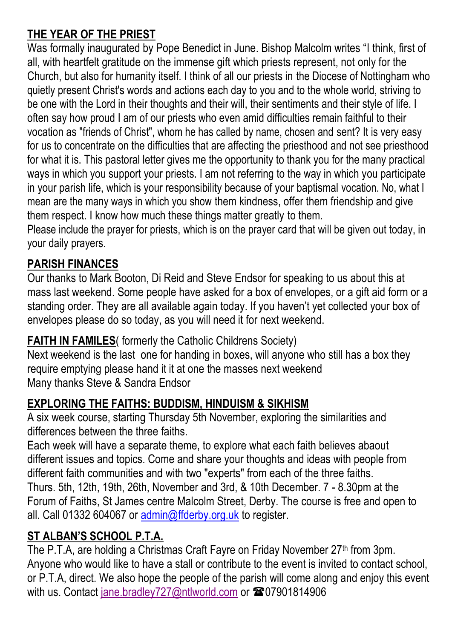#### **THE YEAR OF THE PRIEST**

Was formally inaugurated by Pope Benedict in June. Bishop Malcolm writes "I think, first of all, with heartfelt gratitude on the immense gift which priests represent, not only for the Church, but also for humanity itself. I think of all our priests in the Diocese of Nottingham who quietly present Christ's words and actions each day to you and to the whole world, striving to be one with the Lord in their thoughts and their will, their sentiments and their style of life. I often say how proud I am of our priests who even amid difficulties remain faithful to their vocation as "friends of Christ", whom he has called by name, chosen and sent? It is very easy for us to concentrate on the difficulties that are affecting the priesthood and not see priesthood for what it is. This pastoral letter gives me the opportunity to thank you for the many practical ways in which you support your priests. I am not referring to the way in which you participate in your parish life, which is your responsibility because of your baptismal vocation. No, what I mean are the many ways in which you show them kindness, offer them friendship and give them respect. I know how much these things matter greatly to them.

Please include the prayer for priests, which is on the prayer card that will be given out today, in your daily prayers.

#### **PARISH FINANCES**

Our thanks to Mark Booton, Di Reid and Steve Endsor for speaking to us about this at mass last weekend. Some people have asked for a box of envelopes, or a gift aid form or a standing order. They are all available again today. If you haven't yet collected your box of envelopes please do so today, as you will need it for next weekend.

#### **FAITH IN FAMILES**( formerly the Catholic Childrens Society)

Next weekend is the last one for handing in boxes, will anyone who still has a box they require emptying please hand it it at one the masses next weekend Many thanks Steve & Sandra Endsor

### **EXPLORING THE FAITHS: BUDDISM, HINDUISM & SIKHISM**

A six week course, starting Thursday 5th November, exploring the similarities and differences between the three faiths.

Each week will have a separate theme, to explore what each faith believes abaout different issues and topics. Come and share your thoughts and ideas with people from different faith communities and with two "experts" from each of the three faiths. Thurs. 5th, 12th, 19th, 26th, November and 3rd, & 10th December. 7 - 8.30pm at the Forum of Faiths, St James centre Malcolm Street, Derby. The course is free and open to all. Call 01332 604067 or [admin@ffderby.org.uk](mailto:admin@ffderby.org.uk) to register.

### **ST ALBAN'S SCHOOL P.T.A.**

The P.T.A, are holding a Christmas Craft Fayre on Friday November 27<sup>th</sup> from 3pm. Anyone who would like to have a stall or contribute to the event is invited to contact school, or P.T.A, direct. We also hope the people of the parish will come along and enjoy this event with us. Contact [jane.bradley727@ntlworld.com](mailto:JANE.BRADLEY727@NTLWORLD.COM) or **207901814906**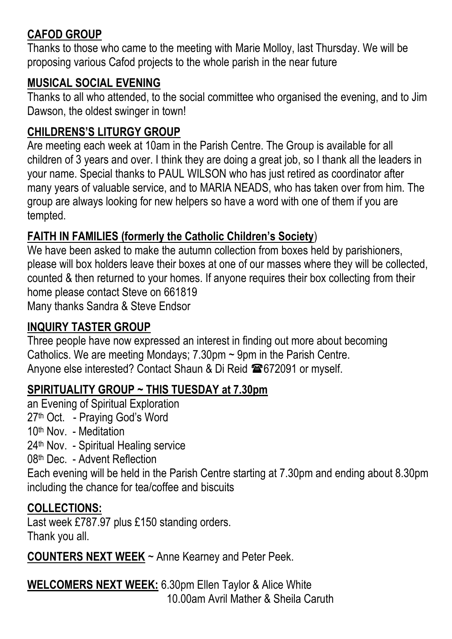#### **CAFOD GROUP**

Thanks to those who came to the meeting with Marie Molloy, last Thursday. We will be proposing various Cafod projects to the whole parish in the near future

#### **MUSICAL SOCIAL EVENING**

Thanks to all who attended, to the social committee who organised the evening, and to Jim Dawson, the oldest swinger in town!

#### **CHILDRENS'S LITURGY GROUP**

Are meeting each week at 10am in the Parish Centre. The Group is available for all children of 3 years and over. I think they are doing a great job, so I thank all the leaders in your name. Special thanks to PAUL WILSON who has just retired as coordinator after many years of valuable service, and to MARIA NEADS, who has taken over from him. The group are always looking for new helpers so have a word with one of them if you are tempted.

#### **FAITH IN FAMILIES (formerly the Catholic Children's Society**)

We have been asked to make the autumn collection from boxes held by parishioners, please will box holders leave their boxes at one of our masses where they will be collected, counted & then returned to your homes. If anyone requires their box collecting from their home please contact Steve on 661819 Many thanks Sandra & Steve Endsor

#### **INQUIRY TASTER GROUP**

Three people have now expressed an interest in finding out more about becoming Catholics. We are meeting Mondays; 7.30pm ~ 9pm in the Parish Centre. Anyone else interested? Contact Shaun & Di Reid  $\blacksquare$  672091 or myself.

#### **SPIRITUALITY GROUP ~ THIS TUESDAY at 7.30pm**

an Evening of Spiritual Exploration 27th Oct. - Praying God's Word 10th Nov. - Meditation 24<sup>th</sup> Nov. - Spiritual Healing service 08th Dec. - Advent Reflection Each evening will be held in the Parish Centre starting at 7.30pm and ending about 8.30pm including the chance for tea/coffee and biscuits

#### **COLLECTIONS:**

Last week £787.97 plus £150 standing orders. Thank you all.

**COUNTERS NEXT WEEK** ~ Anne Kearney and Peter Peek.

**WELCOMERS NEXT WEEK:** 6.30pm Ellen Taylor & Alice White 10.00am Avril Mather & Sheila Caruth